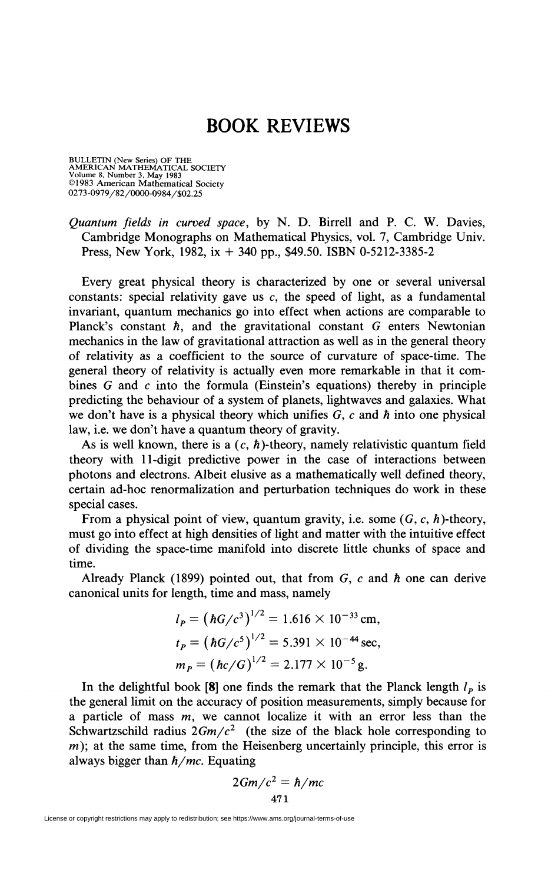## **BOOK REVIEWS**

BULLETIN (New Series) OF THE<br>AMERICAN MATHEMATICAL SOCIETY<br>Volume 8, Number 3, May 1983<br>©1983 American Mathematical Society 0273-0979/82/0000-0984/\$02.25

*Quantum fields in curved space,* by N. D. Birrell and P. C. W. Davies, Cambridge Monographs on Mathematical Physics, vol. 7, Cambridge Univ. Press, New York, 1982, ix  $+$  340 pp., \$49.50. ISBN 0-5212-3385-2

Every great physical theory is characterized by one or several universal constants: special relativity gave us  $c$ , the speed of light, as a fundamental invariant, quantum mechanics go into effect when actions are comparable to Planck's constant *h,* and the gravitational constant *G* enters Newtonian mechanics in the law of gravitational attraction as well as in the general theory of relativity as a coefficient to the source of curvature of space-time. The general theory of relativity is actually even more remarkable in that it combines *G* and *c* into the formula (Einstein's equations) thereby in principle predicting the behaviour of a system of planets, lightwaves and galaxies. What we don't have is a physical theory which unifies G, *c* and *h* into one physical law, i.e. we don't have a quantum theory of gravity.

As is well known, there is a  $(c, \hbar)$ -theory, namely relativistic quantum field theory with 11-digit predictive power in the case of interactions between photons and electrons. Albeit elusive as a mathematically well defined theory, certain ad-hoc renormalization and perturbation techniques do work in these special cases.

From a physical point of view, quantum gravity, i.e. some  $(G, c, \hbar)$ -theory, must go into effect at high densities of light and matter with the intuitive effect of dividing the space-time manifold into discrete little chunks of space and time.

Already Planck (1899) pointed out, that from G, *c* and *h* one can derive canonical units for length, time and mass, namely

$$
l_P = (\hbar G/c^3)^{1/2} = 1.616 \times 10^{-33} \text{ cm},
$$
  
\n
$$
t_P = (\hbar G/c^5)^{1/2} = 5.391 \times 10^{-44} \text{ sec},
$$
  
\n
$$
m_P = (\hbar c/G)^{1/2} = 2.177 \times 10^{-5} \text{ g}.
$$

In the delightful book  $[8]$  one finds the remark that the Planck length  $l_p$  is the general limit on the accuracy of position measurements, simply because for a particle of mass  $m$ , we cannot localize it with an error less than the Schwartzschild radius  $2Gm/c^2$  (the size of the black hole corresponding to  $m$ ); at the same time, from the Heisenberg uncertainly principle, this error is always bigger than *h/mc.* Equating

$$
2Gm/c^2 = \hbar/mc
$$
  
471

License or copyright restrictions may apply to redistribution; see https://www.ams.org/journal-terms-of-use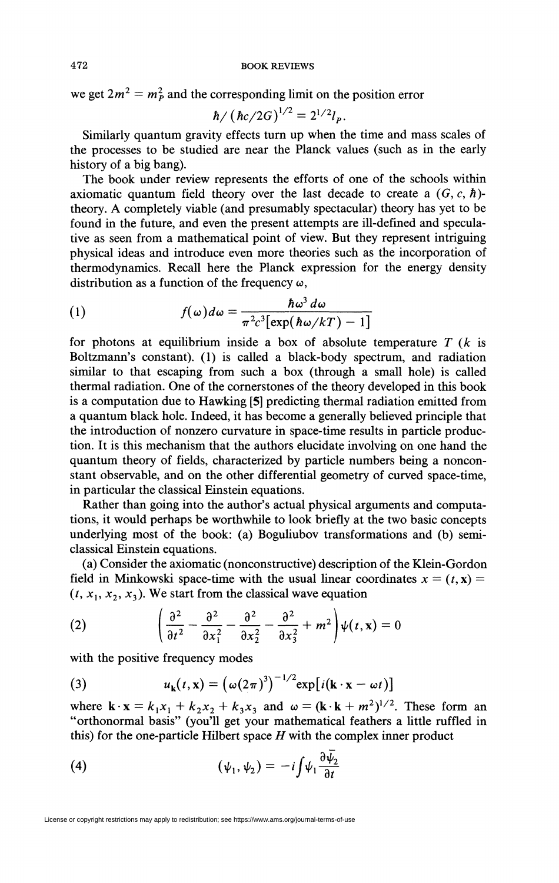we get  $2m^2 = m_P^2$  and the corresponding limit on the position error

$$
\hbar / \left( \hbar c / 2G \right)^{1/2} = 2^{1/2} l_p.
$$

Similarly quantum gravity effects turn up when the time and mass scales of the processes to be studied are near the Planck values (such as in the early history of a big bang).

The book under review represents the efforts of one of the schools within axiomatic quantum field theory over the last decade to create a *(G,* c, *h)* theory. A completely viable (and presumably spectacular) theory has yet to be found in the future, and even the present attempts are ill-defined and speculative as seen from a mathematical point of view. But they represent intriguing physical ideas and introduce even more theories such as the incorporation of thermodynamics. Recall here the Planck expression for the energy density distribution as a function of the frequency  $\omega$ ,

(1) 
$$
f(\omega)d\omega = \frac{\hbar\omega^3 d\omega}{\pi^2 c^3 [\exp(\hbar\omega/kT) - 1]}
$$

for photons at equilibrium inside a box of absolute temperature *T (k* is Boltzmann's constant). (1) is called a black-body spectrum, and radiation similar to that escaping from such a box (through a small hole) is called thermal radiation. One of the cornerstones of the theory developed in this book is a computation due to Hawking [5] predicting thermal radiation emitted from a quantum black hole. Indeed, it has become a generally believed principle that the introduction of nonzero curvature in space-time results in particle production. It is this mechanism that the authors elucidate involving on one hand the quantum theory of fields, characterized by particle numbers being a nonconstant observable, and on the other differential geometry of curved space-time, in particular the classical Einstein equations.

Rather than going into the author's actual physical arguments and computations, it would perhaps be worthwhile to look briefly at the two basic concepts underlying most of the book: (a) Boguliubov transformations and (b) semiclassical Einstein equations.

(a) Consider the axiomatic (nonconstructive) description of the Klein-Gordon field in Minkowski space-time with the usual linear coordinates  $x = (t, x)$  $(t, x_1, x_2, x_3)$ . We start from the classical wave equation

(2) 
$$
\left(\frac{\partial^2}{\partial t^2} - \frac{\partial^2}{\partial x_1^2} - \frac{\partial^2}{\partial x_2^2} - \frac{\partial^2}{\partial x_3^2} + m^2\right)\psi(t, \mathbf{x}) = 0
$$

with the positive frequency modes

(3) 
$$
u_{\mathbf{k}}(t,\mathbf{x}) = (\omega(2\pi)^3)^{-1/2} \exp[i(\mathbf{k}\cdot\mathbf{x}-\omega t)]
$$

where  $\mathbf{k} \cdot \mathbf{x} = k_1 x_1 + k_2 x_2 + k_3 x_3$  and  $\omega = (\mathbf{k} \cdot \mathbf{k} + m^2)^{1/2}$ . These form an "orthonormal basis" (you'll get your mathematical feathers a little ruffled in this) for the one-particle Hubert space *H* with the complex inner product

(4) 
$$
(\psi_1, \psi_2) = -i \int \psi_1 \frac{\partial \psi_2}{\partial t}
$$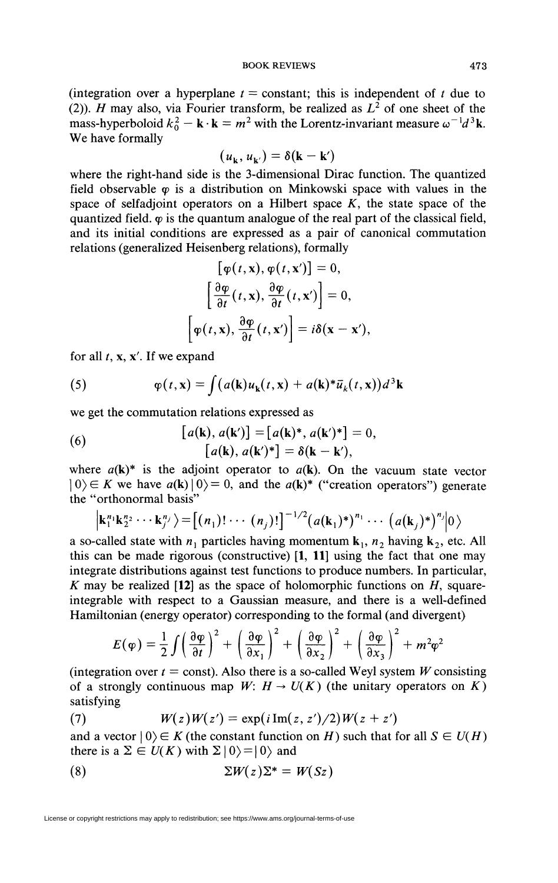(integration over a hyperplane  $t = constant$ ; this is independent of t due to (2)). *H* may also, via Fourier transform, be realized as  $L^2$  of one sheet of the mass-hyperboloid  $k_0^2 - \mathbf{k} \cdot \mathbf{k} = m^2$  with the Lorentz-invariant measure  $\omega^{-1}d^3\mathbf{k}$ . We have formally

$$
(u_{\mathbf{k}}, u_{\mathbf{k}'} ) = \delta(\mathbf{k} - \mathbf{k}')
$$

where the right-hand side is the 3-dimensional Dirac function. The quantized field observable  $\varphi$  is a distribution on Minkowski space with values in the space of selfadjoint operators on a Hilbert space *K,* the state space of the quantized field.  $\varphi$  is the quantum analogue of the real part of the classical field, and its initial conditions are expressed as a pair of canonical commutation relations (generalized Heisenberg relations), formally

$$
[\varphi(t, \mathbf{x}), \varphi(t, \mathbf{x}')] = 0,
$$
  

$$
[\frac{\partial \varphi}{\partial t}(t, \mathbf{x}), \frac{\partial \varphi}{\partial t}(t, \mathbf{x}')] = 0,
$$
  

$$
[\varphi(t, \mathbf{x}), \frac{\partial \varphi}{\partial t}(t, \mathbf{x}')] = i\delta(\mathbf{x} - \mathbf{x}'),
$$

for all  $t$ ,  $x$ ,  $x'$ . If we expand

(5) 
$$
\varphi(t, \mathbf{x}) = \int (a(\mathbf{k})u_{\mathbf{k}}(t, \mathbf{x}) + a(\mathbf{k})^* \bar{u}_{k}(t, \mathbf{x})) d^3 \mathbf{k}
$$

we get the commutation relations expressed as

(6) 
$$
[a(\mathbf{k}), a(\mathbf{k}')] = [a(\mathbf{k})^*, a(\mathbf{k}')^*] = 0,
$$

$$
[a(\mathbf{k}), a(\mathbf{k}')^*] = \delta(\mathbf{k} - \mathbf{k}'),
$$

where  $a(k)^*$  is the adjoint operator to  $a(k)$ . On the vacuum state vector  $|0\rangle \in K$  we have  $a(\mathbf{k})|0\rangle = 0$ , and the  $a(\mathbf{k})^*$  ("creation operators") generate the "orthonormal basis"

$$
\left|\mathbf{k}_1^{n_1}\mathbf{k}_2^{n_2}\cdots\mathbf{k}_{j'}^{n_j}\right\rangle=\left[\left(n_1\right)!\cdots\left(n_j\right)!\right]^{-1/2}\left(a(\mathbf{k}_1)^*\right)^{n_1}\cdots\left(a(\mathbf{k}_j)^*\right)^{n_j}\left|0\right\rangle
$$

a so-called state with  $n_1$  particles having momentum  $k_1$ ,  $n_2$  having  $k_2$ , etc. All this can be made rigorous (constructive)  $\begin{bmatrix} 1 \\ 1 \end{bmatrix}$  using the fact that one may integrate distributions against test functions to produce numbers. In particular, *K* may be realized  $[12]$  as the space of holomorphic functions on *H*, squareintegrable with respect to a Gaussian measure, and there is a well-defined Hamiltonian (energy operator) corresponding to the formal (and divergent)

$$
E(\varphi) = \frac{1}{2} \int \left(\frac{\partial \varphi}{\partial t}\right)^2 + \left(\frac{\partial \varphi}{\partial x_1}\right)^2 + \left(\frac{\partial \varphi}{\partial x_2}\right)^2 + \left(\frac{\partial \varphi}{\partial x_3}\right)^2 + m^2 \varphi^2
$$

(integration over  $t =$  const). Also there is a so-called Weyl system W consisting of a strongly continuous map  $W: H \to U(K)$  (the unitary operators on K) satisfying

$$
(7) \hspace{1cm} W(z)W(z') = \exp(i \operatorname{Im}(z, z')/2)W(z+z')
$$

and a vector  $|0\rangle \in K$  (the constant function on *H*) such that for all  $S \in U(H)$ there is a  $\Sigma \in U(K)$  with  $\Sigma |0\rangle = |0\rangle$  and

$$
(8) \t\t\t\Sigma W(z)\Sigma^* = W(Sz)
$$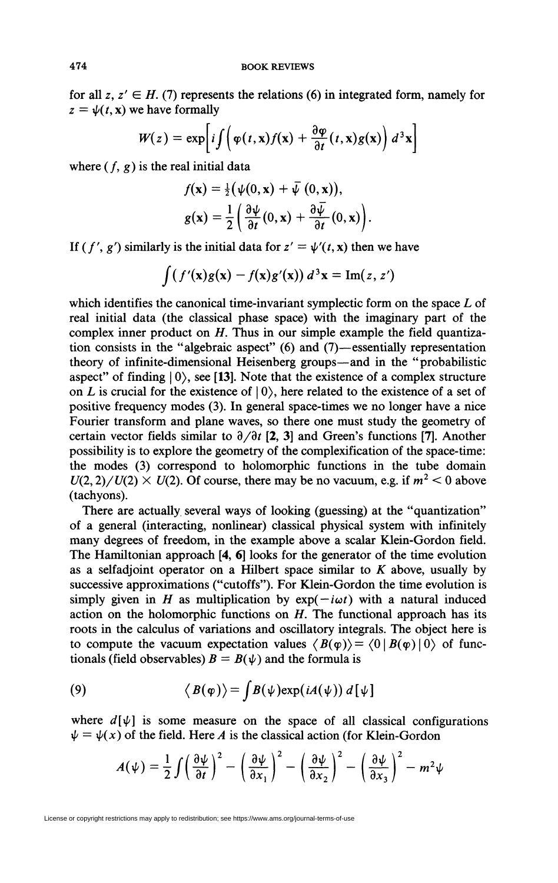for all  $z, z' \in H$ , (7) represents the relations (6) in integrated form, namely for  $z = \psi(t, x)$  we have formally

$$
W(z) = \exp\left[i\int \left(\varphi(t,x)f(x) + \frac{\partial \varphi}{\partial t}(t,x)g(x)\right) d^3x\right]
$$

where  $(f, g)$  is the real initial data

$$
f(\mathbf{x}) = \frac{1}{2} (\psi(0, \mathbf{x}) + \overline{\psi}(0, \mathbf{x})),
$$
  
\n
$$
g(\mathbf{x}) = \frac{1}{2} \left( \frac{\partial \psi}{\partial t}(0, \mathbf{x}) + \frac{\partial \overline{\psi}}{\partial t}(0, \mathbf{x}) \right).
$$

If  $(f', g')$  similarly is the initial data for  $z' = \psi'(t, x)$  then we have

$$
\int (f'(x)g(x) - f(x)g'(x)) d^3x = \text{Im}(z, z')
$$

which identifies the canonical time-invariant symplectic form on the space *L* of real initial data (the classical phase space) with the imaginary part of the complex inner product on *H.* Thus in our simple example the field quantization consists in the "algebraic aspect" (6) and (7)—essentially representation theory of infinite-dimensional Heisenberg groups—and in the "probabilistic aspect" of finding  $|0\rangle$ , see [13]. Note that the existence of a complex structure on *L* is crucial for the existence of  $|0\rangle$ , here related to the existence of a set of positive frequency modes (3). In general space-times we no longer have a nice Fourier transform and plane waves, so there one must study the geometry of certain vector fields similar to  $\partial/\partial t$  [2, 3] and Green's functions [7]. Another possibility is to explore the geometry of the complexification of the space-time: the modes (3) correspond to holomorphic functions in the tube domain  $U(2, 2)/U(2) \times U(2)$ . Of course, there may be no vacuum, e.g. if  $m^2 < 0$  above (tachyons).

There are actually several ways of looking (guessing) at the "quantization" of a general (interacting, nonlinear) classical physical system with infinitely many degrees of freedom, in the example above a scalar Klein-Gordon field. The Hamiltonian approach [4, 6] looks for the generator of the time evolution as a selfadjoint operator on a Hubert space similar to *K* above, usually by successive approximations ("cutoffs"). For Klein-Gordon the time evolution is simply given in *H* as multiplication by  $exp(-i\omega t)$  with a natural induced action on the holomorphic functions on *H.* The functional approach has its roots in the calculus of variations and oscillatory integrals. The object here is to compute the vacuum expectation values  $\langle B(\varphi) \rangle = \langle 0 | B(\varphi) | 0 \rangle$  of functionals (field observables)  $B = B(\psi)$  and the formula is

(9) 
$$
\langle B(\varphi) \rangle = \int B(\psi) \exp(iA(\psi)) d[\psi]
$$

where  $d[\psi]$  is some measure on the space of all classical configurations  $\psi = \psi(x)$  of the field. Here *A* is the classical action (for Klein-Gordon

$$
A(\psi) = \frac{1}{2} \int \left(\frac{\partial \psi}{\partial t}\right)^2 - \left(\frac{\partial \psi}{\partial x_1}\right)^2 - \left(\frac{\partial \psi}{\partial x_2}\right)^2 - \left(\frac{\partial \psi}{\partial x_3}\right)^2 - m^2 \psi
$$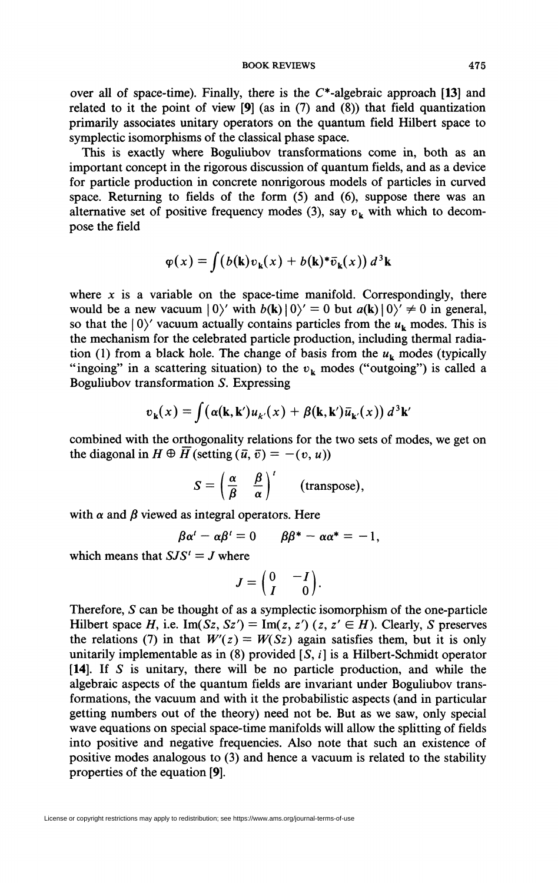**BOOK REVIEWS** 475

over all of space-time). Finally, there is the  $C^*$ -algebraic approach [13] and related to it the point of view  $[9]$  (as in  $(7)$  and  $(8)$ ) that field quantization primarily associates unitary operators on the quantum field Hubert space to symplectic isomorphisms of the classical phase space.

This is exactly where Boguliubov transformations come in, both as an important concept in the rigorous discussion of quantum fields, and as a device for particle production in concrete nonrigorous models of particles in curved space. Returning to fields of the form (5) and (6), suppose there was an alternative set of positive frequency modes (3), say  $v_k$  with which to decompose the field

$$
\varphi(x) = \int (b(\mathbf{k})v_{\mathbf{k}}(x) + b(\mathbf{k})^* \bar{v}_{\mathbf{k}}(x)) d^3\mathbf{k}
$$

where  $x$  is a variable on the space-time manifold. Correspondingly, there would be a new vacuum  $|0\rangle'$  with  $b(\mathbf{k})|0\rangle' = 0$  but  $a(\mathbf{k})|0\rangle' \neq 0$  in general, so that the  $|0\rangle'$  vacuum actually contains particles from the  $u_k$  modes. This is the mechanism for the celebrated particle production, including thermal radiation (1) from a black hole. The change of basis from the  $u_k$  modes (typically "ingoing" in a scattering situation) to the  $v_k$  modes ("outgoing") is called a Boguliubov transformation *S.* Expressing

$$
v_{\mathbf{k}}(x) = \int (\alpha(\mathbf{k}, \mathbf{k}') u_{\mathbf{k}'}(x) + \beta(\mathbf{k}, \mathbf{k}') \bar{u}_{\mathbf{k}'}(x)) d^{3} \mathbf{k}'
$$

combined with the orthogonality relations for the two sets of modes, we get on the diagonal in  $H \oplus \overline{H}$  (setting  $(\overline{u}, \overline{v}) = -(v, u)$ )

$$
S = \left(\frac{\alpha}{\beta} \quad \frac{\beta}{\alpha}\right)^t \quad \text{(transpose)},
$$

with  $\alpha$  and  $\beta$  viewed as integral operators. Here

$$
\beta \alpha^t - \alpha \beta^t = 0 \qquad \beta \beta^* - \alpha \alpha^* = -1,
$$

which means that  $SJS' = J$  where

$$
J=\begin{pmatrix} 0 & -I \\ I & 0 \end{pmatrix}.
$$

Therefore, *S* can be thought of as a symplectic isomorphism of the one-particle Hilbert space H, i.e.  $\text{Im}(Sz, Sz') = \text{Im}(z, z')$  (z,  $z' \in H$ ). Clearly, *S* preserves the relations (7) in that  $W'(z) = W(Sz)$  again satisfies them, but it is only unitarily implementable as in (8) provided  $[S, i]$  is a Hilbert-Schmidt operator [14]. If *S* is unitary, there will be no particle production, and while the algebraic aspects of the quantum fields are invariant under Boguliubov transformations, the vacuum and with it the probabilistic aspects (and in particular getting numbers out of the theory) need not be. But as we saw, only special wave equations on special space-time manifolds will allow the splitting of fields into positive and negative frequencies. Also note that such an existence of positive modes analogous to (3) and hence a vacuum is related to the stability properties of the equation [9].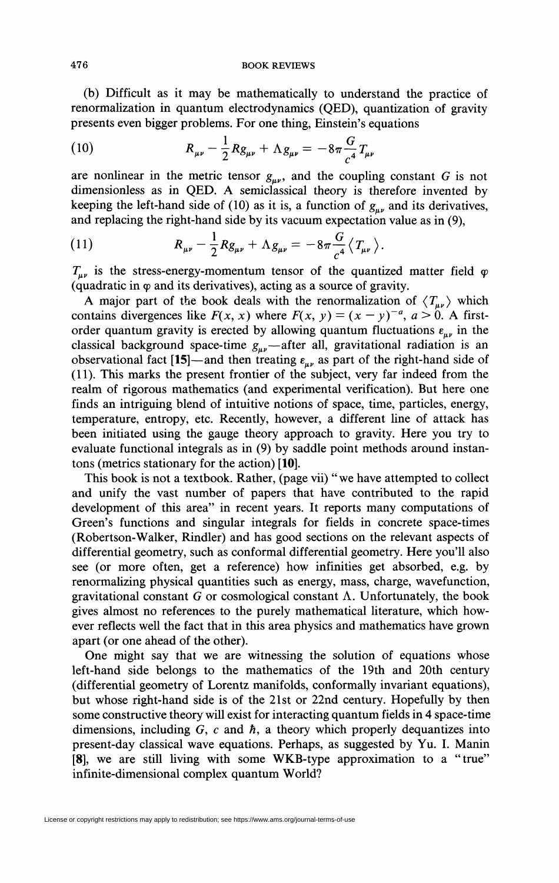(b) Difficult as it may be mathematically to understand the practice of renormalization in quantum electrodynamics (QED), quantization of gravity presents even bigger problems. For one thing, Einstein's equations

(10) 
$$
R_{\mu\nu} - \frac{1}{2} R g_{\mu\nu} + \Lambda g_{\mu\nu} = -8\pi \frac{G}{c^4} T_{\mu\nu}
$$

are nonlinear in the metric tensor  $g_{\mu\nu}$ , and the coupling constant G is not dimensionless as in QED. A semiclassical theory is therefore invented by keeping the left-hand side of (10) as it is, a function of  $g_{\mu\nu}$  and its derivatives, and replacing the right-hand side by its vacuum expectation value as in (9),

(11) 
$$
R_{\mu\nu} - \frac{1}{2} R g_{\mu\nu} + \Lambda g_{\mu\nu} = -8\pi \frac{G}{c^4} \langle T_{\mu\nu} \rangle.
$$

 $T_{\mu\nu}$  is the stress-energy-momentum tensor of the quantized matter field  $\varphi$ (quadratic in  $\varphi$  and its derivatives), acting as a source of gravity.

A major part of the book deals with the renormalization of  $\langle T_{\mu\nu} \rangle$  which contains divergences like  $F(x, x)$  where  $F(x, y) = (x - y)^{-a}, a > 0$ . A firstorder quantum gravity is erected by allowing quantum fluctuations  $\varepsilon_{\mu\nu}$  in the classical background space-time  $g_{\mu\nu}$ —after all, gravitational radiation is an observational fact [15]—and then treating  $\varepsilon_{\mu\nu}$  as part of the right-hand side of (11). This marks the present frontier of the subject, very far indeed from the realm of rigorous mathematics (and experimental verification). But here one finds an intriguing blend of intuitive notions of space, time, particles, energy, temperature, entropy, etc. Recently, however, a different line of attack has been initiated using the gauge theory approach to gravity. Here you try to evaluate functional integrals as in (9) by saddle point methods around instantons (metrics stationary for the action) [10].

This book is not a textbook. Rather, (page vii) "we have attempted to collect and unify the vast number of papers that have contributed to the rapid development of this area" in recent years. It reports many computations of Green's functions and singular integrals for fields in concrete space-times (Robertson-Walker, Rindler) and has good sections on the relevant aspects of differential geometry, such as conformai differential geometry. Here you'll also see (or more often, get a reference) how infinities get absorbed, e.g. by renormalizing physical quantities such as energy, mass, charge, wavefunction, gravitational constant  $G$  or cosmological constant  $\Lambda$ . Unfortunately, the book gives almost no references to the purely mathematical literature, which however reflects well the fact that in this area physics and mathematics have grown apart (or one ahead of the other).

One might say that we are witnessing the solution of equations whose left-hand side belongs to the mathematics of the 19th and 20th century (differential geometry of Lorentz manifolds, conformally invariant equations), but whose right-hand side is of the 21st or 22nd century. Hopefully by then some constructive theory will exist for interacting quantum fields in 4 space-time dimensions, including G, *c* and *h,* a theory which properly dequantizes into present-day classical wave equations. Perhaps, as suggested by Yu. I. Manin [8], we are still living with some WKB-type approximation to a "true" infinite-dimensional complex quantum World?